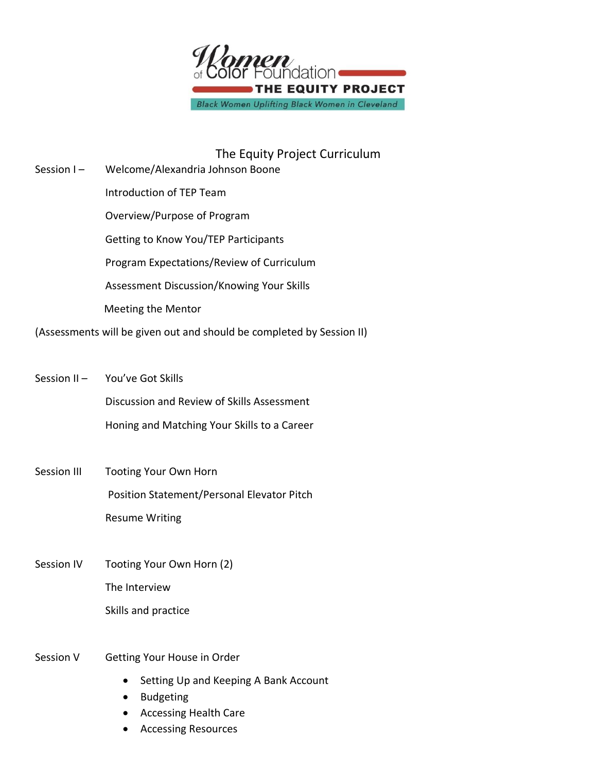

The Equity Project Curriculum Session I – Welcome/Alexandria Johnson Boone Introduction of TEP Team Overview/Purpose of Program Getting to Know You/TEP Participants Program Expectations/Review of Curriculum Assessment Discussion/Knowing Your Skills Meeting the Mentor

(Assessments will be given out and should be completed by Session II)

- Session II You've Got Skills Discussion and Review of Skills Assessment Honing and Matching Your Skills to a Career
- Session III Tooting Your Own Horn Position Statement/Personal Elevator Pitch Resume Writing
- Session IV Tooting Your Own Horn (2) The Interview Skills and practice
- Session V Getting Your House in Order
	- Setting Up and Keeping A Bank Account
	- Budgeting
	- Accessing Health Care
	- Accessing Resources